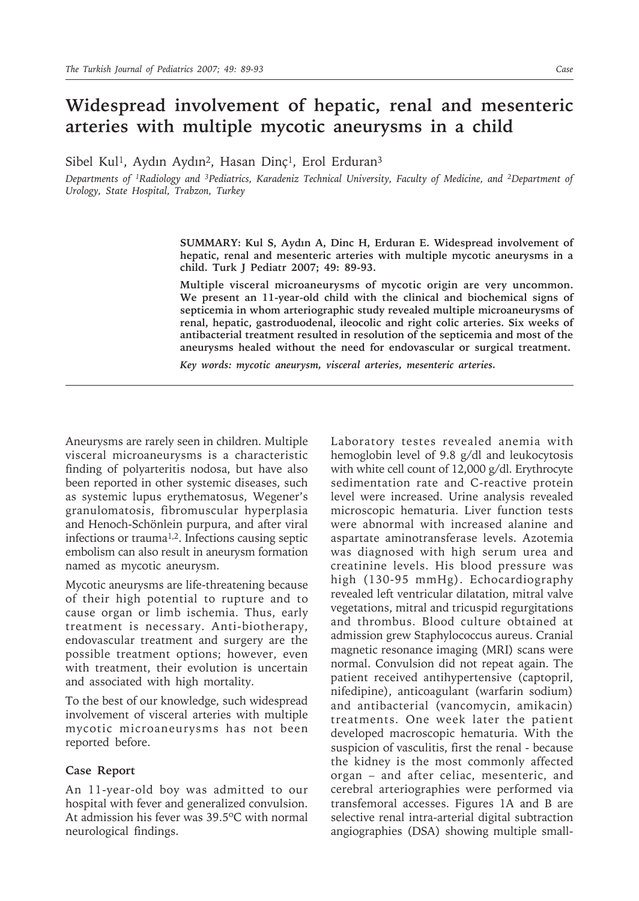## **Widespread involvement of hepatic, renal and mesenteric arteries with multiple mycotic aneurysms in a child**

Sibel Kul<sup>1</sup>, Aydın Aydın<sup>2</sup>, Hasan Dinç<sup>1</sup>, Erol Erduran<sup>3</sup>

*Departments of 1Radiology and 3Pediatrics, Karadeniz Technical University, Faculty of Medicine, and 2Department of Urology, State Hospital, Trabzon, Turkey*

> **SUMMARY: Kul S, Aydın A, Dinc H, Erduran E. Widespread involvement of hepatic, renal and mesenteric arteries with multiple mycotic aneurysms in a child. Turk J Pediatr 2007; 49: 89-93.**

> **Multiple visceral microaneurysms of mycotic origin are very uncommon. We present an 11-year-old child with the clinical and biochemical signs of septicemia in whom arteriographic study revealed multiple microaneurysms of renal, hepatic, gastroduodenal, ileocolic and right colic arteries. Six weeks of antibacterial treatment resulted in resolution of the septicemia and most of the aneurysms healed without the need for endovascular or surgical treatment.**

*Key words: mycotic aneurysm, visceral arteries, mesenteric arteries.*

Aneurysms are rarely seen in children. Multiple visceral microaneurysms is a characteristic finding of polyarteritis nodosa, but have also been reported in other systemic diseases, such as systemic lupus erythematosus, Wegener's granulomatosis, fibromuscular hyperplasia and Henoch-Schönlein purpura, and after viral infections or trauma1,2. Infections causing septic embolism can also result in aneurysm formation named as mycotic aneurysm.

Mycotic aneurysms are life-threatening because of their high potential to rupture and to cause organ or limb ischemia. Thus, early treatment is necessary. Anti-biotherapy, endovascular treatment and surgery are the possible treatment options; however, even with treatment, their evolution is uncertain and associated with high mortality.

To the best of our knowledge, such widespread involvement of visceral arteries with multiple mycotic microaneurysms has not been reported before.

## **Case Report**

An 11-year-old boy was admitted to our hospital with fever and generalized convulsion. At admission his fever was 39.5ºC with normal neurological findings.

Laboratory testes revealed anemia with hemoglobin level of 9.8 g/dl and leukocytosis with white cell count of 12,000 g/dl. Erythrocyte sedimentation rate and C-reactive protein level were increased. Urine analysis revealed microscopic hematuria. Liver function tests were abnormal with increased alanine and aspartate aminotransferase levels. Azotemia was diagnosed with high serum urea and creatinine levels. His blood pressure was high (130-95 mmHg). Echocardiography revealed left ventricular dilatation, mitral valve vegetations, mitral and tricuspid regurgitations and thrombus. Blood culture obtained at admission grew Staphylococcus aureus. Cranial magnetic resonance imaging (MRI) scans were normal. Convulsion did not repeat again. The patient received antihypertensive (captopril, nifedipine), anticoagulant (warfarin sodium) and antibacterial (vancomycin, amikacin) treatments. One week later the patient developed macroscopic hematuria. With the suspicion of vasculitis, first the renal - because the kidney is the most commonly affected organ – and after celiac, mesenteric, and cerebral arteriographies were performed via transfemoral accesses. Figures 1A and B are selective renal intra-arterial digital subtraction angiographies (DSA) showing multiple small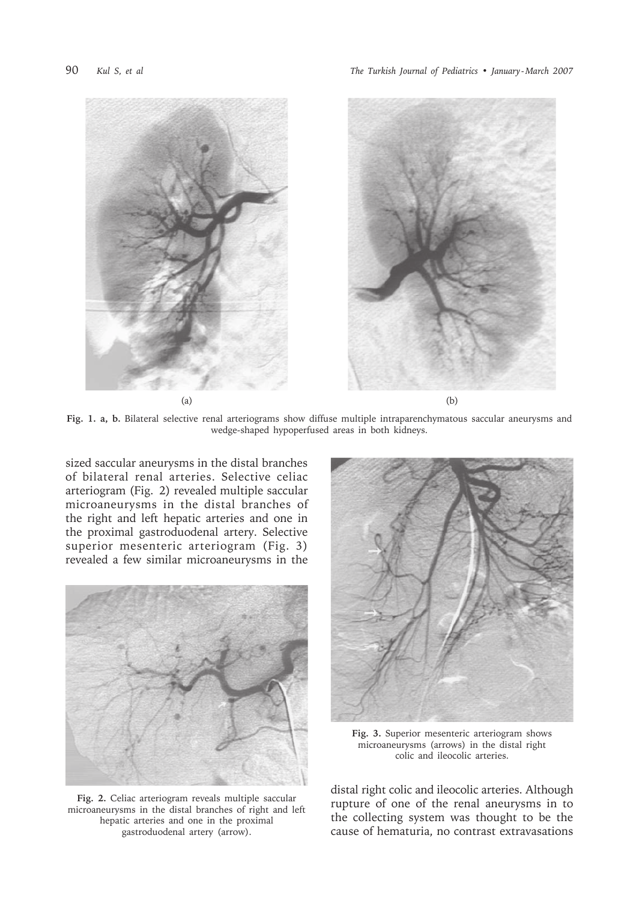90 *Kul S, et al The Turkish Journal of Pediatrics • January - March 2007*



**Fig. 1. a, b.** Bilateral selective renal arteriograms show diffuse multiple intraparenchymatous saccular aneurysms and wedge-shaped hypoperfused areas in both kidneys.

sized saccular aneurysms in the distal branches of bilateral renal arteries. Selective celiac arteriogram (Fig. 2) revealed multiple saccular microaneurysms in the distal branches of the right and left hepatic arteries and one in the proximal gastroduodenal artery. Selective superior mesenteric arteriogram (Fig. 3) revealed a few similar microaneurysms in the





**Fig. 3.** Superior mesenteric arteriogram shows microaneurysms (arrows) in the distal right colic and ileocolic arteries.

**Fig. 2.** Celiac arteriogram reveals multiple saccular microaneurysms in the distal branches of right and left hepatic arteries and one in the proximal gastroduodenal artery (arrow).

distal right colic and ileocolic arteries. Although rupture of one of the renal aneurysms in to the collecting system was thought to be the cause of hematuria, no contrast extravasations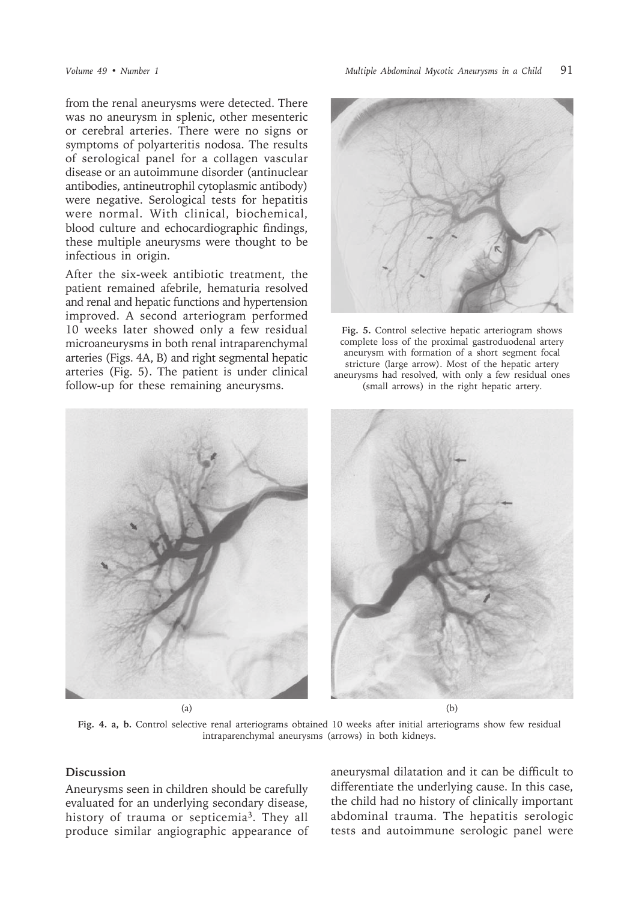from the renal aneurysms were detected. There was no aneurysm in splenic, other mesenteric or cerebral arteries. There were no signs or symptoms of polyarteritis nodosa. The results of serological panel for a collagen vascular disease or an autoimmune disorder (antinuclear antibodies, antineutrophil cytoplasmic antibody) were negative. Serological tests for hepatitis were normal. With clinical, biochemical, blood culture and echocardiographic findings, these multiple aneurysms were thought to be infectious in origin.

After the six-week antibiotic treatment, the patient remained afebrile, hematuria resolved and renal and hepatic functions and hypertension improved. A second arteriogram performed 10 weeks later showed only a few residual microaneurysms in both renal intraparenchymal arteries (Figs. 4A, B) and right segmental hepatic arteries (Fig. 5). The patient is under clinical follow-up for these remaining aneurysms.



**Fig. 5.** Control selective hepatic arteriogram shows complete loss of the proximal gastroduodenal artery aneurysm with formation of a short segment focal stricture (large arrow). Most of the hepatic artery aneurysms had resolved, with only a few residual ones (small arrows) in the right hepatic artery.



 $(a)$  (b)

**Fig. 4. a, b.** Control selective renal arteriograms obtained 10 weeks after initial arteriograms show few residual intraparenchymal aneurysms (arrows) in both kidneys.

## **Discussion**

Aneurysms seen in children should be carefully evaluated for an underlying secondary disease, history of trauma or septicemia<sup>3</sup>. They all produce similar angiographic appearance of aneurysmal dilatation and it can be difficult to differentiate the underlying cause. In this case, the child had no history of clinically important abdominal trauma. The hepatitis serologic tests and autoimmune serologic panel were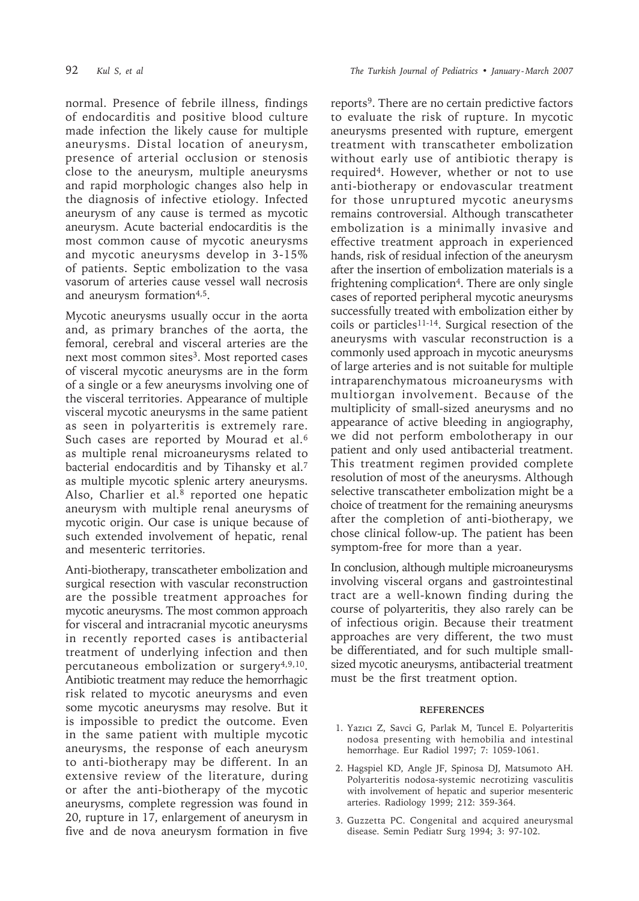normal. Presence of febrile illness, findings of endocarditis and positive blood culture made infection the likely cause for multiple aneurysms. Distal location of aneurysm, presence of arterial occlusion or stenosis close to the aneurysm, multiple aneurysms and rapid morphologic changes also help in the diagnosis of infective etiology. Infected aneurysm of any cause is termed as mycotic aneurysm. Acute bacterial endocarditis is the most common cause of mycotic aneurysms and mycotic aneurysms develop in 3-15% of patients. Septic embolization to the vasa vasorum of arteries cause vessel wall necrosis and aneurysm formation<sup>4,5</sup>.

Mycotic aneurysms usually occur in the aorta and, as primary branches of the aorta, the femoral, cerebral and visceral arteries are the next most common sites<sup>3</sup>. Most reported cases of visceral mycotic aneurysms are in the form of a single or a few aneurysms involving one of the visceral territories. Appearance of multiple visceral mycotic aneurysms in the same patient as seen in polyarteritis is extremely rare. Such cases are reported by Mourad et al.<sup>6</sup> as multiple renal microaneurysms related to bacterial endocarditis and by Tihansky et al.7 as multiple mycotic splenic artery aneurysms. Also, Charlier et al.<sup>8</sup> reported one hepatic aneurysm with multiple renal aneurysms of mycotic origin. Our case is unique because of such extended involvement of hepatic, renal and mesenteric territories.

Anti-biotherapy, transcatheter embolization and surgical resection with vascular reconstruction are the possible treatment approaches for mycotic aneurysms. The most common approach for visceral and intracranial mycotic aneurysms in recently reported cases is antibacterial treatment of underlying infection and then percutaneous embolization or surgery4,9,10. Antibiotic treatment may reduce the hemorrhagic risk related to mycotic aneurysms and even some mycotic aneurysms may resolve. But it is impossible to predict the outcome. Even in the same patient with multiple mycotic aneurysms, the response of each aneurysm to anti-biotherapy may be different. In an extensive review of the literature, during or after the anti-biotherapy of the mycotic aneurysms, complete regression was found in 20, rupture in 17, enlargement of aneurysm in five and de nova aneurysm formation in five

reports9. There are no certain predictive factors to evaluate the risk of rupture. In mycotic aneurysms presented with rupture, emergent treatment with transcatheter embolization without early use of antibiotic therapy is required4. However, whether or not to use anti-biotherapy or endovascular treatment for those unruptured mycotic aneurysms remains controversial. Although transcatheter embolization is a minimally invasive and effective treatment approach in experienced hands, risk of residual infection of the aneurysm after the insertion of embolization materials is a frightening complication<sup>4</sup>. There are only single cases of reported peripheral mycotic aneurysms successfully treated with embolization either by coils or particles<sup>11-14</sup>. Surgical resection of the aneurysms with vascular reconstruction is a commonly used approach in mycotic aneurysms of large arteries and is not suitable for multiple intraparenchymatous microaneurysms with multiorgan involvement. Because of the multiplicity of small-sized aneurysms and no appearance of active bleeding in angiography, we did not perform embolotherapy in our patient and only used antibacterial treatment. This treatment regimen provided complete resolution of most of the aneurysms. Although selective transcatheter embolization might be a choice of treatment for the remaining aneurysms after the completion of anti-biotherapy, we chose clinical follow-up. The patient has been symptom-free for more than a year.

In conclusion, although multiple microaneurysms involving visceral organs and gastrointestinal tract are a well-known finding during the course of polyarteritis, they also rarely can be of infectious origin. Because their treatment approaches are very different, the two must be differentiated, and for such multiple smallsized mycotic aneurysms, antibacterial treatment must be the first treatment option.

## **REFERENCES**

- 1. Yazıcı Z, Savci G, Parlak M, Tuncel E. Polyarteritis nodosa presenting with hemobilia and intestinal hemorrhage. Eur Radiol 1997; 7: 1059-1061.
- 2. Hagspiel KD, Angle JF, Spinosa DJ, Matsumoto AH. Polyarteritis nodosa-systemic necrotizing vasculitis with involvement of hepatic and superior mesenteric arteries. Radiology 1999; 212: 359-364.
- 3. Guzzetta PC. Congenital and acquired aneurysmal disease. Semin Pediatr Surg 1994; 3: 97-102.